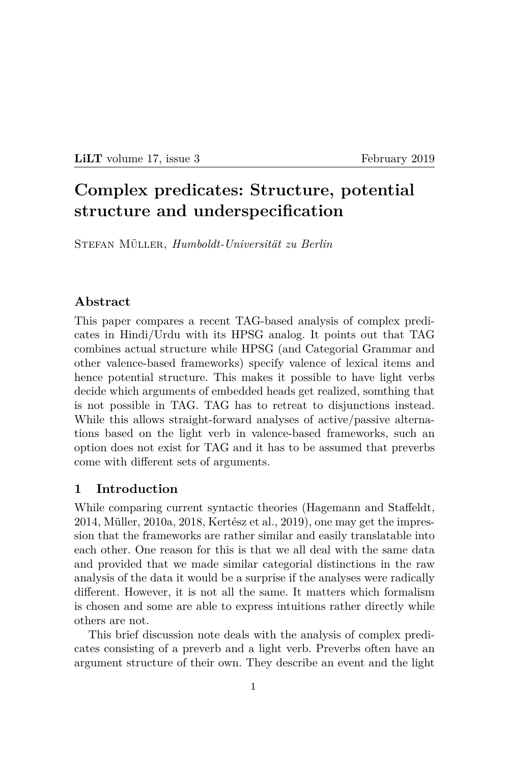#### **LiLT** volume 17, issue 3 February 2019

# **Complex predicates: Structure, potential structure and underspecification**

Stefan Müller, *Humboldt-Universität zu Berlin*

### **Abstract**

This paper compares a recent TAG-based analysis of complex predicates in Hindi/Urdu with its HPSG analog. It points out that TAG combines actual structure while HPSG (and Categorial Grammar and other valence-based frameworks) specify valence of lexical items and hence potential structure. This makes it possible to have light verbs decide which arguments of embedded heads get realized, somthing that is not possible in TAG. TAG has to retreat to disjunctions instead. While this allows straight-forward analyses of active/passive alternations based on the light verb in valence-based frameworks, such an option does not exist for TAG and it has to be assumed that preverbs come with different sets of arguments.

#### **1 Introduction**

While comparing current syntactic theories (Hagemann and Staffeldt, 2014, Müller, 2010a, 2018, Kertész et al., 2019), one may get the impression that the frameworks are rather similar and easily translatable into each other. One reason for this is that we all deal with the same data and provided that we made similar categorial distinctions in the raw analysis of the data it would be a surprise if the analyses were radically different. However, it is not all the same. It matters which formalism is chosen and some are able to express intuitions rather directly while others are not.

This brief discussion note deals with the analysis of complex predicates consisting of a preverb and a light verb. Preverbs often have an argument structure of their own. They describe an event and the light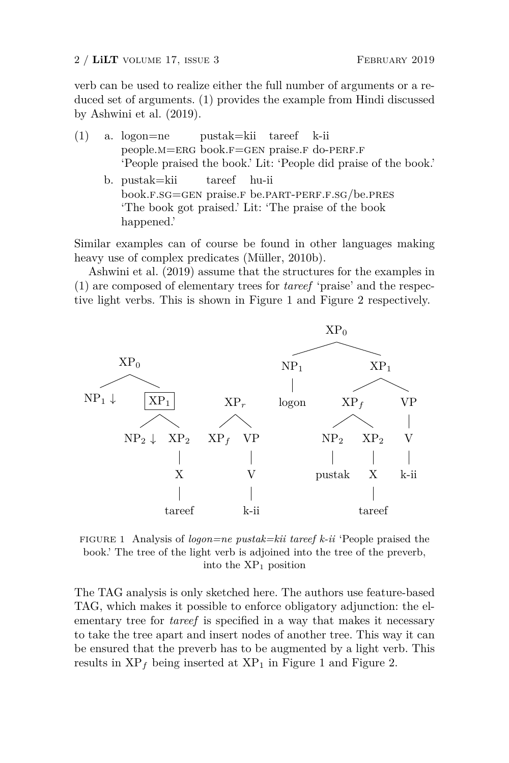2 / **LiLT** VOLUME 17, ISSUE 3 FEBRUARY 2019

verb can be used to realize either the full number of arguments or a reduced set of arguments. (1) provides the example from Hindi discussed by Ashwini et al. (2019).

- (1) a. logon=ne people.M=ERG book.F=GEN praise.F do-PERF.F pustak=kii tareef k-ii 'People praised the book.' Lit: 'People did praise of the book.'
	- b. pustak=kii book.f.sg=gen praise.f be.part-perf.f.sg/be.pres tareef hu-ii 'The book got praised.' Lit: 'The praise of the book happened.'

Similar examples can of course be found in other languages making heavy use of complex predicates (Müller, 2010b).

Ashwini et al. (2019) assume that the structures for the examples in (1) are composed of elementary trees for *tareef* 'praise' and the respective light verbs. This is shown in Figure 1 and Figure 2 respectively.



FIGURE 1 Analysis of *logon=ne pustak=kii tareef k-ii* 'People praised the book.' The tree of the light verb is adjoined into the tree of the preverb, into the  $XP_1$  position

The TAG analysis is only sketched here. The authors use feature-based TAG, which makes it possible to enforce obligatory adjunction: the elementary tree for *tareef* is specified in a way that makes it necessary to take the tree apart and insert nodes of another tree. This way it can be ensured that the preverb has to be augmented by a light verb. This results in  $XP_f$  being inserted at  $XP_1$  in Figure 1 and Figure 2.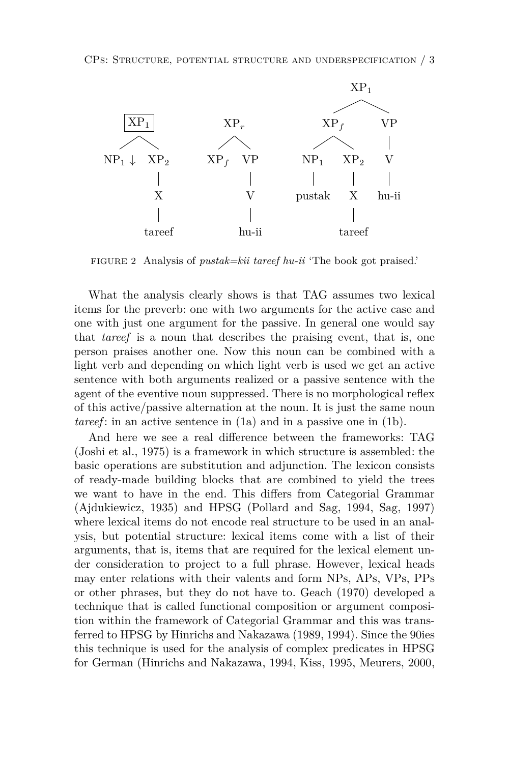

FIGURE 2 Analysis of *pustak=kii tareef hu-ii* 'The book got praised.'

What the analysis clearly shows is that TAG assumes two lexical items for the preverb: one with two arguments for the active case and one with just one argument for the passive. In general one would say that *tareef* is a noun that describes the praising event, that is, one person praises another one. Now this noun can be combined with a light verb and depending on which light verb is used we get an active sentence with both arguments realized or a passive sentence with the agent of the eventive noun suppressed. There is no morphological reflex of this active/passive alternation at the noun. It is just the same noun *tareef* : in an active sentence in (1a) and in a passive one in (1b).

And here we see a real difference between the frameworks: TAG (Joshi et al., 1975) is a framework in which structure is assembled: the basic operations are substitution and adjunction. The lexicon consists of ready-made building blocks that are combined to yield the trees we want to have in the end. This differs from Categorial Grammar (Ajdukiewicz, 1935) and HPSG (Pollard and Sag, 1994, Sag, 1997) where lexical items do not encode real structure to be used in an analysis, but potential structure: lexical items come with a list of their arguments, that is, items that are required for the lexical element under consideration to project to a full phrase. However, lexical heads may enter relations with their valents and form NPs, APs, VPs, PPs or other phrases, but they do not have to. Geach (1970) developed a technique that is called functional composition or argument composition within the framework of Categorial Grammar and this was transferred to HPSG by Hinrichs and Nakazawa (1989, 1994). Since the 90ies this technique is used for the analysis of complex predicates in HPSG for German (Hinrichs and Nakazawa, 1994, Kiss, 1995, Meurers, 2000,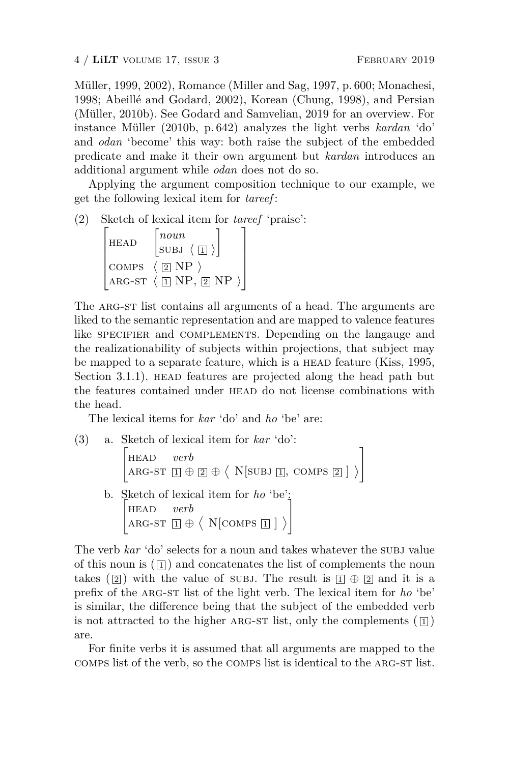Müller, 1999, 2002), Romance (Miller and Sag, 1997, p. 600; Monachesi, 1998; Abeillé and Godard, 2002), Korean (Chung, 1998), and Persian (Müller, 2010b). See Godard and Samvelian, 2019 for an overview. For instance Müller (2010b, p. 642) analyzes the light verbs *kardan* 'do' and *odan* 'become' this way: both raise the subject of the embedded predicate and make it their own argument but *kardan* introduces an additional argument while *odan* does not do so.

Applying the argument composition technique to our example, we get the following lexical item for *tareef* :

(2) Sketch of lexical item for *tareef* 'praise':

$$
\begin{bmatrix} \text{HEAD} & \begin{bmatrix} \text{noun} \\ \text{SUBJ} & \left\{ \boxed{1} \right\} \end{bmatrix} \\ \text{COMPS} & \left\{ \boxed{2} \text{ NP} \right\} \\ \text{ARG-ST} & \left\{ \boxed{1} \text{ NP}, \boxed{2} \text{ NP} \right\} \end{bmatrix}
$$

The ARG-ST list contains all arguments of a head. The arguments are liked to the semantic representation and are mapped to valence features like SPECIFIER and COMPLEMENTS. Depending on the language and the realizationability of subjects within projections, that subject may be mapped to a separate feature, which is a HEAD feature (Kiss, 1995, Section 3.1.1). HEAD features are projected along the head path but the features contained under head do not license combinations with the head.

The lexical items for *kar* 'do' and *ho* 'be' are:

(3) a. Sketch of lexical item for *kar* 'do': ) head *verb*  $\texttt{ARG-ST} \; \textcolor{red}{\Box} \oplus \textcolor{red}{\textcircled{2}} \, \oplus \, \big \langle \texttt{ N[SUBJ} \; \textcolor{red}{\Box}, \; \texttt{COMPS} \; \textcolor{red}{\boxtimes} \, \textcolor{red}{]}\, \big \rangle$ , b. Sketch of lexical item for *ho* 'be':  $\begin{bmatrix} \text{HEAD} & verb \end{bmatrix}$  $\text{ARG-ST} \; \boxed{1} \oplus \left\langle \right. \text{N}[\text{COMPS} \; \boxed{1}] \left. \right\rangle$ ,

The verb *kar* 'do' selects for a noun and takes whatever the subj value of this noun is  $(\Pi)$  and concatenates the list of complements the noun takes ( $\boxed{2}$ ) with the value of SUBJ. The result is  $\boxed{1} \oplus \boxed{2}$  and it is a prefix of the arg-st list of the light verb. The lexical item for *ho* 'be' is similar, the difference being that the subject of the embedded verb is not attracted to the higher ARG-ST list, only the complements  $(\mathbb{I})$ are.

For finite verbs it is assumed that all arguments are mapped to the comps list of the verb, so the comps list is identical to the arg-st list.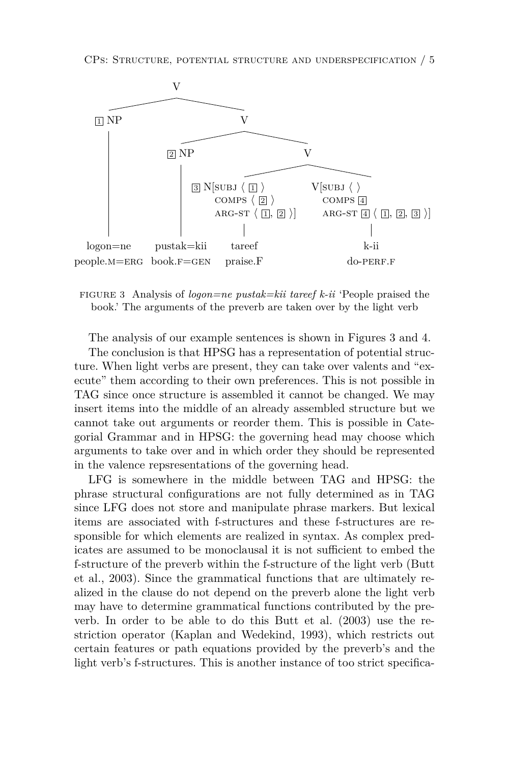

FIGURE 3 Analysis of *logon=ne pustak=kii tareef k-ii* 'People praised the book.' The arguments of the preverb are taken over by the light verb

The analysis of our example sentences is shown in Figures 3 and 4.

The conclusion is that HPSG has a representation of potential structure. When light verbs are present, they can take over valents and "execute" them according to their own preferences. This is not possible in TAG since once structure is assembled it cannot be changed. We may insert items into the middle of an already assembled structure but we cannot take out arguments or reorder them. This is possible in Categorial Grammar and in HPSG: the governing head may choose which arguments to take over and in which order they should be represented in the valence repsresentations of the governing head.

LFG is somewhere in the middle between TAG and HPSG: the phrase structural configurations are not fully determined as in TAG since LFG does not store and manipulate phrase markers. But lexical items are associated with f-structures and these f-structures are responsible for which elements are realized in syntax. As complex predicates are assumed to be monoclausal it is not sufficient to embed the f-structure of the preverb within the f-structure of the light verb (Butt et al., 2003). Since the grammatical functions that are ultimately realized in the clause do not depend on the preverb alone the light verb may have to determine grammatical functions contributed by the preverb. In order to be able to do this Butt et al. (2003) use the restriction operator (Kaplan and Wedekind, 1993), which restricts out certain features or path equations provided by the preverb's and the light verb's f-structures. This is another instance of too strict specifica-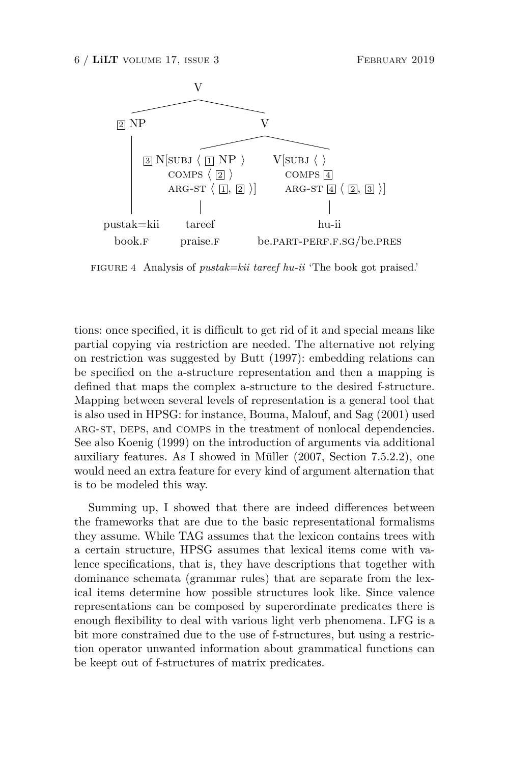

FIGURE 4 Analysis of *pustak=kii tareef hu-ii* 'The book got praised.'

tions: once specified, it is difficult to get rid of it and special means like partial copying via restriction are needed. The alternative not relying on restriction was suggested by Butt (1997): embedding relations can be specified on the a-structure representation and then a mapping is defined that maps the complex a-structure to the desired f-structure. Mapping between several levels of representation is a general tool that is also used in HPSG: for instance, Bouma, Malouf, and Sag (2001) used ARG-ST, DEPS, and COMPS in the treatment of nonlocal dependencies. See also Koenig (1999) on the introduction of arguments via additional auxiliary features. As I showed in Müller (2007, Section 7.5.2.2), one would need an extra feature for every kind of argument alternation that is to be modeled this way.

Summing up, I showed that there are indeed differences between the frameworks that are due to the basic representational formalisms they assume. While TAG assumes that the lexicon contains trees with a certain structure, HPSG assumes that lexical items come with valence specifications, that is, they have descriptions that together with dominance schemata (grammar rules) that are separate from the lexical items determine how possible structures look like. Since valence representations can be composed by superordinate predicates there is enough flexibility to deal with various light verb phenomena. LFG is a bit more constrained due to the use of f-structures, but using a restriction operator unwanted information about grammatical functions can be keept out of f-structures of matrix predicates.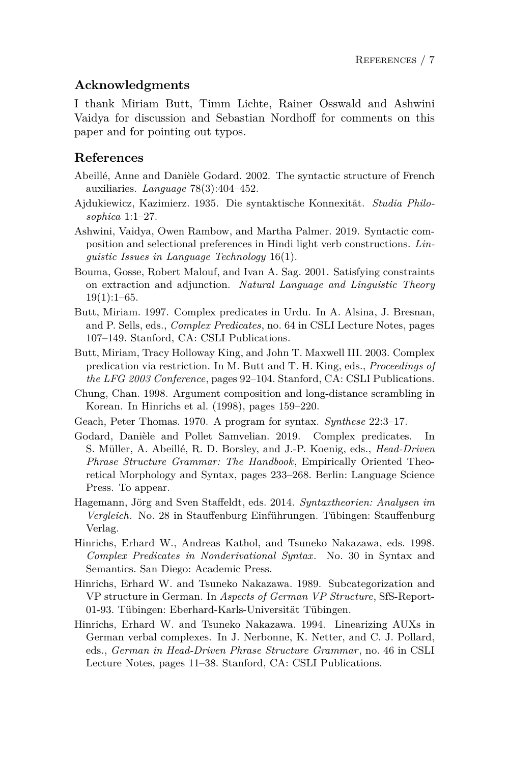# **Acknowledgments**

I thank Miriam Butt, Timm Lichte, Rainer Osswald and Ashwini Vaidya for discussion and Sebastian Nordhoff for comments on this paper and for pointing out typos.

## **References**

- Abeillé, Anne and Danièle Godard. 2002. The syntactic structure of French auxiliaries. *Language* 78(3):404–452.
- Ajdukiewicz, Kazimierz. 1935. Die syntaktische Konnexität. *Studia Philosophica* 1:1–27.
- Ashwini, Vaidya, Owen Rambow, and Martha Palmer. 2019. Syntactic composition and selectional preferences in Hindi light verb constructions. *Linguistic Issues in Language Technology* 16(1).
- Bouma, Gosse, Robert Malouf, and Ivan A. Sag. 2001. Satisfying constraints on extraction and adjunction. *Natural Language and Linguistic Theory*  $19(1):1-65.$
- Butt, Miriam. 1997. Complex predicates in Urdu. In A. Alsina, J. Bresnan, and P. Sells, eds., *Complex Predicates*, no. 64 in CSLI Lecture Notes, pages 107–149. Stanford, CA: CSLI Publications.
- Butt, Miriam, Tracy Holloway King, and John T. Maxwell III. 2003. Complex predication via restriction. In M. Butt and T. H. King, eds., *Proceedings of the LFG 2003 Conference*, pages 92–104. Stanford, CA: CSLI Publications.
- Chung, Chan. 1998. Argument composition and long-distance scrambling in Korean. In Hinrichs et al. (1998), pages 159–220.
- Geach, Peter Thomas. 1970. A program for syntax. *Synthese* 22:3–17.
- Godard, Danièle and Pollet Samvelian. 2019. Complex predicates. In S. Müller, A. Abeillé, R. D. Borsley, and J.-P. Koenig, eds., *Head-Driven Phrase Structure Grammar: The Handbook*, Empirically Oriented Theoretical Morphology and Syntax, pages 233–268. Berlin: Language Science Press. To appear.
- Hagemann, Jörg and Sven Staffeldt, eds. 2014. *Syntaxtheorien: Analysen im Vergleich*. No. 28 in Stauffenburg Einführungen. Tübingen: Stauffenburg Verlag.
- Hinrichs, Erhard W., Andreas Kathol, and Tsuneko Nakazawa, eds. 1998. *Complex Predicates in Nonderivational Syntax*. No. 30 in Syntax and Semantics. San Diego: Academic Press.
- Hinrichs, Erhard W. and Tsuneko Nakazawa. 1989. Subcategorization and VP structure in German. In *Aspects of German VP Structure*, SfS-Report-01-93. Tübingen: Eberhard-Karls-Universität Tübingen.
- Hinrichs, Erhard W. and Tsuneko Nakazawa. 1994. Linearizing AUXs in German verbal complexes. In J. Nerbonne, K. Netter, and C. J. Pollard, eds., *German in Head-Driven Phrase Structure Grammar*, no. 46 in CSLI Lecture Notes, pages 11–38. Stanford, CA: CSLI Publications.